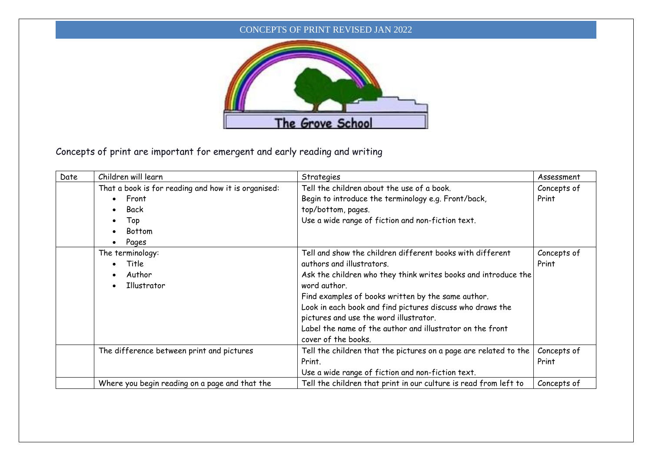## CONCEPTS OF PRINT REVISED JAN 2022



Concepts of print are important for emergent and early reading and writing

| Date | Children will learn                                 | Strategies                                                       | Assessment  |
|------|-----------------------------------------------------|------------------------------------------------------------------|-------------|
|      | That a book is for reading and how it is organised: | Tell the children about the use of a book.                       | Concepts of |
|      | Front<br>$\bullet$                                  | Begin to introduce the terminology e.g. Front/back,              | Print       |
|      | Back<br>$\bullet$                                   | top/bottom, pages.                                               |             |
|      | Top<br>$\bullet$                                    | Use a wide range of fiction and non-fiction text.                |             |
|      | <b>Bottom</b><br>$\bullet$                          |                                                                  |             |
|      | Pages                                               |                                                                  |             |
|      | The terminology:                                    | Tell and show the children different books with different        | Concepts of |
|      | Title                                               | authors and illustrators.                                        | Print       |
|      | Author                                              | Ask the children who they think writes books and introduce the   |             |
|      | Illustrator<br>$\bullet$                            | word author.                                                     |             |
|      |                                                     | Find examples of books written by the same author.               |             |
|      |                                                     | Look in each book and find pictures discuss who draws the        |             |
|      |                                                     | pictures and use the word illustrator.                           |             |
|      |                                                     | Label the name of the author and illustrator on the front        |             |
|      |                                                     | cover of the books.                                              |             |
|      | The difference between print and pictures           | Tell the children that the pictures on a page are related to the | Concepts of |
|      |                                                     | Print.                                                           | Print       |
|      |                                                     | Use a wide range of fiction and non-fiction text.                |             |
|      | Where you begin reading on a page and that the      | Tell the children that print in our culture is read from left to | Concepts of |